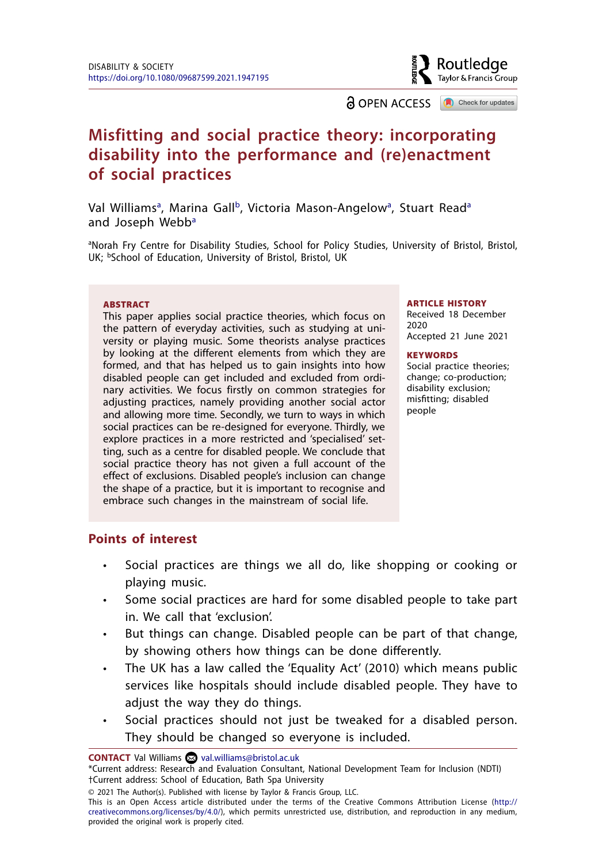Routledae Taylor & Francis Group

**a** OPEN ACCESS **a** Check for updates

# **Misfitting and social practice theory: incorporating disability into the performance and (re)enactment of social practices**

V[a](#page-0-0)l Williams<sup>a</sup>, Marina Gall<sup>b</sup>, Victoria Mason-Angelow<sup>a</sup>, Stuart Read<sup>a</sup> and Joseph Webb<sup>a</sup>

<span id="page-0-1"></span><span id="page-0-0"></span><sup>a</sup>Norah Fry Centre for Disability Studies, School for Policy Studies, University of Bristol, Bristol, UK; <sup>b</sup>School of Education, University of Bristol, Bristol, UK

#### **ABSTRACT**

This paper applies social practice theories, which focus on the pattern of everyday activities, such as studying at university or playing music. Some theorists analyse practices by looking at the different elements from which they are formed, and that has helped us to gain insights into how disabled people can get included and excluded from ordinary activities. We focus firstly on common strategies for adjusting practices, namely providing another social actor and allowing more time. Secondly, we turn to ways in which social practices can be re-designed for everyone. Thirdly, we explore practices in a more restricted and 'specialised' setting, such as a centre for disabled people. We conclude that social practice theory has not given a full account of the effect of exclusions. Disabled people's inclusion can change the shape of a practice, but it is important to recognise and embrace such changes in the mainstream of social life.

#### ARTICLE HISTORY

Received 18 December 2020 Accepted 21 June 2021

#### **KEYWORDS**

Social practice theories; change; co-production; disability exclusion; misfitting; disabled people

### **Points of interest**

- Social practices are things we all do, like shopping or cooking or playing music.
- Some social practices are hard for some disabled people to take part in. We call that 'exclusion'.
- But things can change. Disabled people can be part of that change, by showing others how things can be done differently.
- The UK has a law called the 'Equality Act' (2010) which means public services like hospitals should include disabled people. They have to adjust the way they do things.
- Social practices should not just be tweaked for a disabled person. They should be changed so everyone is included.

**CONTACT** Val Williams **2** [val.williams@bristol.ac.uk](mailto:val.williams@bristol.ac.uk)

<sup>\*</sup>Current address: Research and Evaluation Consultant, National Development Team for Inclusion (NDTI) †Current address: School of Education, Bath Spa University

<sup>© 2021</sup> The Author(s). Published with license by Taylor & Francis Group, LLC.

This is an Open Access article distributed under the terms of the Creative Commons Attribution License ([http://](http://creativecommons.org/licenses/by/4.0/) [creativecommons.org/licenses/by/4.0/\)](http://creativecommons.org/licenses/by/4.0/), which permits unrestricted use, distribution, and reproduction in any medium, provided the original work is properly cited.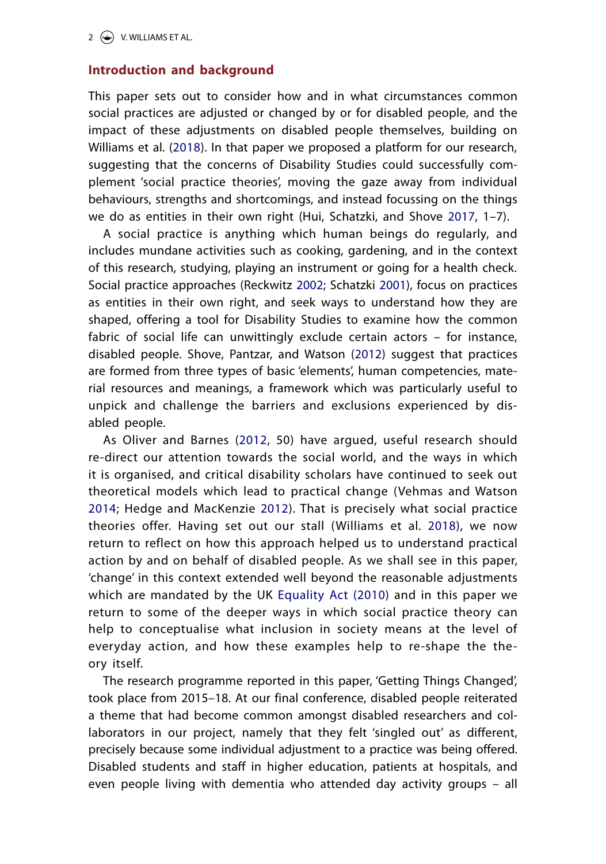### **Introduction and background**

<span id="page-1-8"></span>This paper sets out to consider how and in what circumstances common social practices are adjusted or changed by or for disabled people, and the impact of these adjustments on disabled people themselves, building on Williams et al. ([2018](#page-21-0)). In that paper we proposed a platform for our research, suggesting that the concerns of Disability Studies could successfully complement 'social practice theories', moving the gaze away from individual behaviours, strengths and shortcomings, and instead focussing on the things we do as entities in their own right (Hui, Schatzki, and Shove [2017,](#page-19-0) 1–7).

<span id="page-1-5"></span><span id="page-1-4"></span><span id="page-1-2"></span>A social practice is anything which human beings do regularly, and includes mundane activities such as cooking, gardening, and in the context of this research, studying, playing an instrument or going for a health check. Social practice approaches (Reckwitz [2002](#page-20-0); Schatzki [2001\)](#page-20-1), focus on practices as entities in their own right, and seek ways to understand how they are shaped, offering a tool for Disability Studies to examine how the common fabric of social life can unwittingly exclude certain actors – for instance, disabled people. Shove, Pantzar, and Watson ([2012\)](#page-20-2) suggest that practices are formed from three types of basic 'elements', human competencies, material resources and meanings, a framework which was particularly useful to unpick and challenge the barriers and exclusions experienced by disabled people.

<span id="page-1-7"></span><span id="page-1-6"></span><span id="page-1-3"></span><span id="page-1-1"></span>As Oliver and Barnes ([2012,](#page-20-3) 50) have argued, useful research should re-direct our attention towards the social world, and the ways in which it is organised, and critical disability scholars have continued to seek out theoretical models which lead to practical change (Vehmas and Watson [2014;](#page-21-1) Hedge and MacKenzie [2012](#page-19-1)). That is precisely what social practice theories offer. Having set out our stall (Williams et al. [2018](#page-21-0)), we now return to reflect on how this approach helped us to understand practical action by and on behalf of disabled people. As we shall see in this paper, 'change' in this context extended well beyond the reasonable adjustments which are mandated by the UK [Equality Act \(2010\)](#page-19-2) and in this paper we return to some of the deeper ways in which social practice theory can help to conceptualise what inclusion in society means at the level of everyday action, and how these examples help to re-shape the theory itself.

<span id="page-1-0"></span>The research programme reported in this paper, 'Getting Things Changed', took place from 2015–18. At our final conference, disabled people reiterated a theme that had become common amongst disabled researchers and collaborators in our project, namely that they felt 'singled out' as different, precisely because some individual adjustment to a practice was being offered. Disabled students and staff in higher education, patients at hospitals, and even people living with dementia who attended day activity groups – all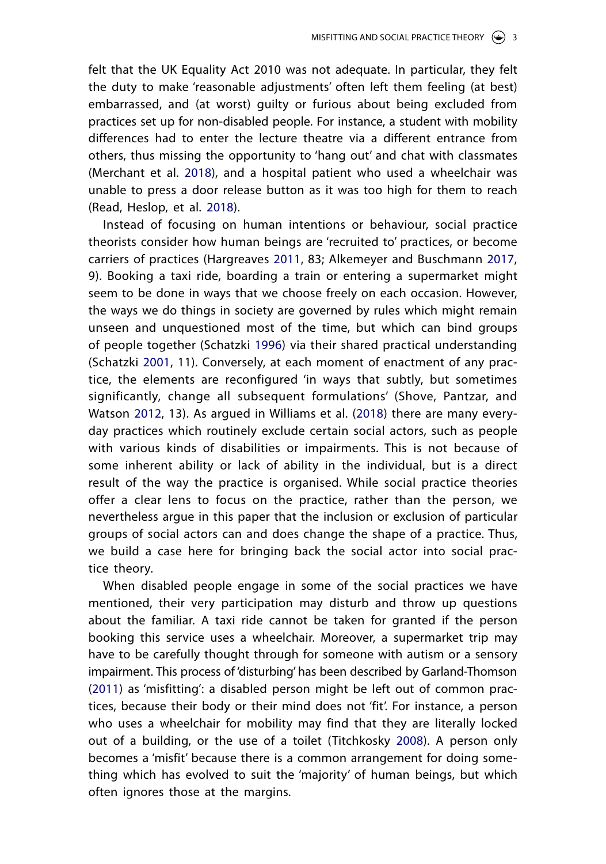felt that the UK Equality Act 2010 was not adequate. In particular, they felt the duty to make 'reasonable adjustments' often left them feeling (at best) embarrassed, and (at worst) guilty or furious about being excluded from practices set up for non-disabled people. For instance, a student with mobility differences had to enter the lecture theatre via a different entrance from others, thus missing the opportunity to 'hang out' and chat with classmates (Merchant et al. [2018](#page-19-3)), and a hospital patient who used a wheelchair was unable to press a door release button as it was too high for them to reach (Read, Heslop, et al. [2018](#page-19-4)).

<span id="page-2-5"></span><span id="page-2-4"></span><span id="page-2-3"></span><span id="page-2-2"></span><span id="page-2-0"></span>Instead of focusing on human intentions or behaviour, social practice theorists consider how human beings are 'recruited to' practices, or become carriers of practices (Hargreaves [2011](#page-19-5), 83; Alkemeyer and Buschmann [2017,](#page-18-0) 9). Booking a taxi ride, boarding a train or entering a supermarket might seem to be done in ways that we choose freely on each occasion. However, the ways we do things in society are governed by rules which might remain unseen and unquestioned most of the time, but which can bind groups of people together (Schatzki [1996\)](#page-20-4) via their shared practical understanding (Schatzki [2001,](#page-20-5) 11). Conversely, at each moment of enactment of any practice, the elements are reconfigured 'in ways that subtly, but sometimes significantly, change all subsequent formulations' (Shove, Pantzar, and Watson [2012,](#page-20-2) 13). As argued in Williams et al. ([2018\)](#page-21-0) there are many everyday practices which routinely exclude certain social actors, such as people with various kinds of disabilities or impairments. This is not because of some inherent ability or lack of ability in the individual, but is a direct result of the way the practice is organised. While social practice theories offer a clear lens to focus on the practice, rather than the person, we nevertheless argue in this paper that the inclusion or exclusion of particular groups of social actors can and does change the shape of a practice. Thus, we build a case here for bringing back the social actor into social practice theory.

<span id="page-2-6"></span><span id="page-2-1"></span>When disabled people engage in some of the social practices we have mentioned, their very participation may disturb and throw up questions about the familiar. A taxi ride cannot be taken for granted if the person booking this service uses a wheelchair. Moreover, a supermarket trip may have to be carefully thought through for someone with autism or a sensory impairment. This process of 'disturbing' has been described by Garland-Thomson ([2011](#page-19-6)) as 'misfitting': a disabled person might be left out of common practices, because their body or their mind does not 'fit'. For instance, a person who uses a wheelchair for mobility may find that they are literally locked out of a building, or the use of a toilet (Titchkosky [2008\)](#page-21-2). A person only becomes a 'misfit' because there is a common arrangement for doing something which has evolved to suit the 'majority' of human beings, but which often ignores those at the margins.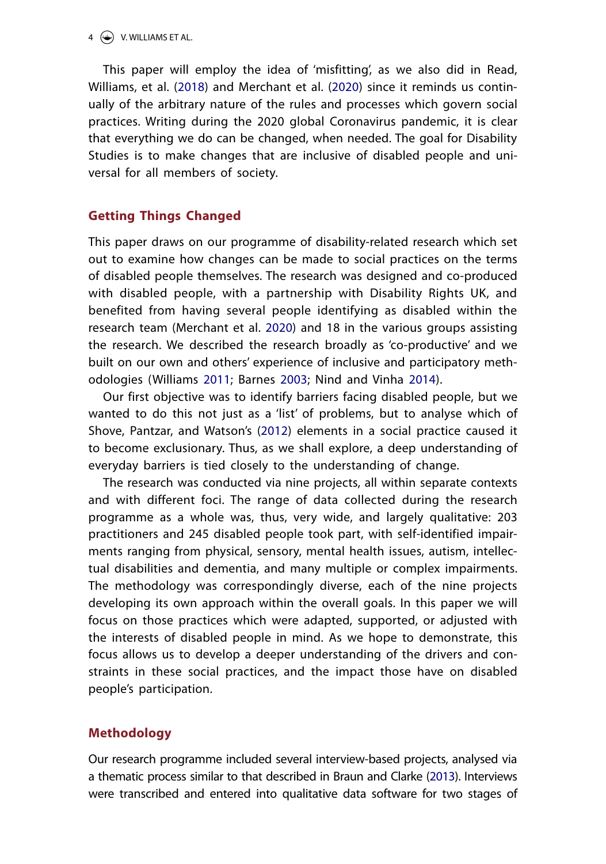#### $4 \quad \Leftrightarrow$  V. WILLIAMS ET AL.

<span id="page-3-4"></span><span id="page-3-2"></span>This paper will employ the idea of 'misfitting', as we also did in Read, Williams, et al. ([2018\)](#page-20-6) and Merchant et al. [\(2020](#page-19-7)) since it reminds us continually of the arbitrary nature of the rules and processes which govern social practices. Writing during the 2020 global Coronavirus pandemic, it is clear that everything we do can be changed, when needed. The goal for Disability Studies is to make changes that are inclusive of disabled people and universal for all members of society.

## **Getting Things Changed**

This paper draws on our programme of disability-related research which set out to examine how changes can be made to social practices on the terms of disabled people themselves. The research was designed and co-produced with disabled people, with a partnership with Disability Rights UK, and benefited from having several people identifying as disabled within the research team (Merchant et al. [2020](#page-19-7)) and 18 in the various groups assisting the research. We described the research broadly as 'co-productive' and we built on our own and others' experience of inclusive and participatory methodologies (Williams [2011;](#page-21-3) Barnes [2003](#page-18-1); Nind and Vinha [2014\)](#page-20-7).

<span id="page-3-5"></span><span id="page-3-3"></span><span id="page-3-0"></span>Our first objective was to identify barriers facing disabled people, but we wanted to do this not just as a 'list' of problems, but to analyse which of Shove, Pantzar, and Watson's ([2012\)](#page-20-2) elements in a social practice caused it to become exclusionary. Thus, as we shall explore, a deep understanding of everyday barriers is tied closely to the understanding of change.

The research was conducted via nine projects, all within separate contexts and with different foci. The range of data collected during the research programme as a whole was, thus, very wide, and largely qualitative: 203 practitioners and 245 disabled people took part, with self-identified impairments ranging from physical, sensory, mental health issues, autism, intellectual disabilities and dementia, and many multiple or complex impairments. The methodology was correspondingly diverse, each of the nine projects developing its own approach within the overall goals. In this paper we will focus on those practices which were adapted, supported, or adjusted with the interests of disabled people in mind. As we hope to demonstrate, this focus allows us to develop a deeper understanding of the drivers and constraints in these social practices, and the impact those have on disabled people's participation.

### **Methodology**

<span id="page-3-1"></span>Our research programme included several interview-based projects, analysed via a thematic process similar to that described in Braun and Clarke [\(2013](#page-19-8)). Interviews were transcribed and entered into qualitative data software for two stages of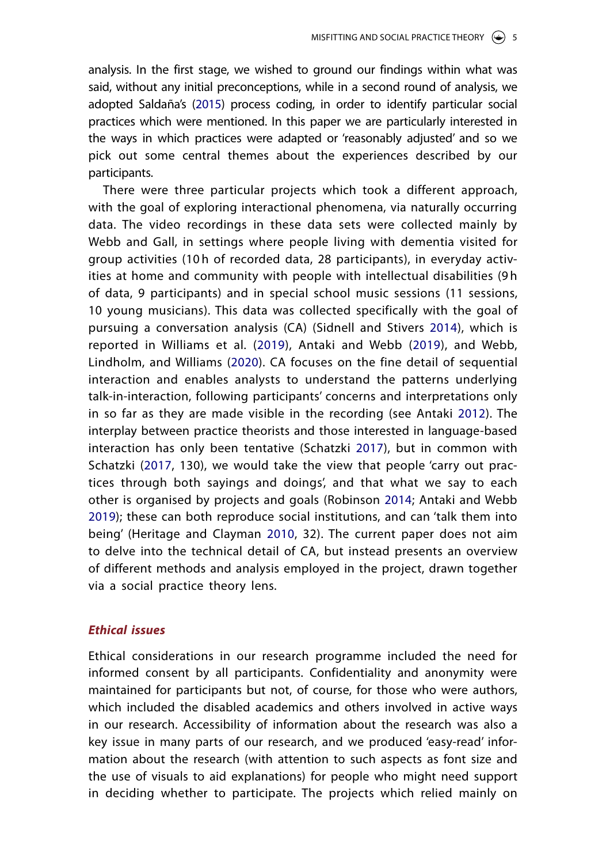<span id="page-4-4"></span>analysis. In the first stage, we wished to ground our findings within what was said, without any initial preconceptions, while in a second round of analysis, we adopted Saldaña's [\(2015](#page-20-8)) process coding, in order to identify particular social practices which were mentioned. In this paper we are particularly interested in the ways in which practices were adapted or 'reasonably adjusted' and so we pick out some central themes about the experiences described by our participants.

<span id="page-4-8"></span><span id="page-4-7"></span><span id="page-4-6"></span><span id="page-4-1"></span><span id="page-4-0"></span>There were three particular projects which took a different approach, with the goal of exploring interactional phenomena, via naturally occurring data. The video recordings in these data sets were collected mainly by Webb and Gall, in settings where people living with dementia visited for group activities (10 h of recorded data, 28 participants), in everyday activities at home and community with people with intellectual disabilities (9 h of data, 9 participants) and in special school music sessions (11 sessions, 10 young musicians). This data was collected specifically with the goal of pursuing a conversation analysis (CA) (Sidnell and Stivers [2014](#page-20-9)), which is reported in Williams et al. [\(2019](#page-21-4)), Antaki and Webb ([2019\)](#page-18-2), and Webb, Lindholm, and Williams ([2020](#page-21-5)). CA focuses on the fine detail of sequential interaction and enables analysts to understand the patterns underlying talk-in-interaction, following participants' concerns and interpretations only in so far as they are made visible in the recording (see Antaki [2012](#page-18-3)). The interplay between practice theorists and those interested in language-based interaction has only been tentative (Schatzki [2017](#page-20-10)), but in common with Schatzki [\(2017,](#page-20-11) 130), we would take the view that people 'carry out practices through both sayings and doings', and that what we say to each other is organised by projects and goals (Robinson [2014;](#page-20-12) Antaki and Webb [2019](#page-18-2)); these can both reproduce social institutions, and can 'talk them into being' (Heritage and Clayman [2010,](#page-19-9) 32). The current paper does not aim to delve into the technical detail of CA, but instead presents an overview of different methods and analysis employed in the project, drawn together via a social practice theory lens.

### <span id="page-4-5"></span><span id="page-4-3"></span><span id="page-4-2"></span>*Ethical issues*

Ethical considerations in our research programme included the need for informed consent by all participants. Confidentiality and anonymity were maintained for participants but not, of course, for those who were authors, which included the disabled academics and others involved in active ways in our research. Accessibility of information about the research was also a key issue in many parts of our research, and we produced 'easy-read' information about the research (with attention to such aspects as font size and the use of visuals to aid explanations) for people who might need support in deciding whether to participate. The projects which relied mainly on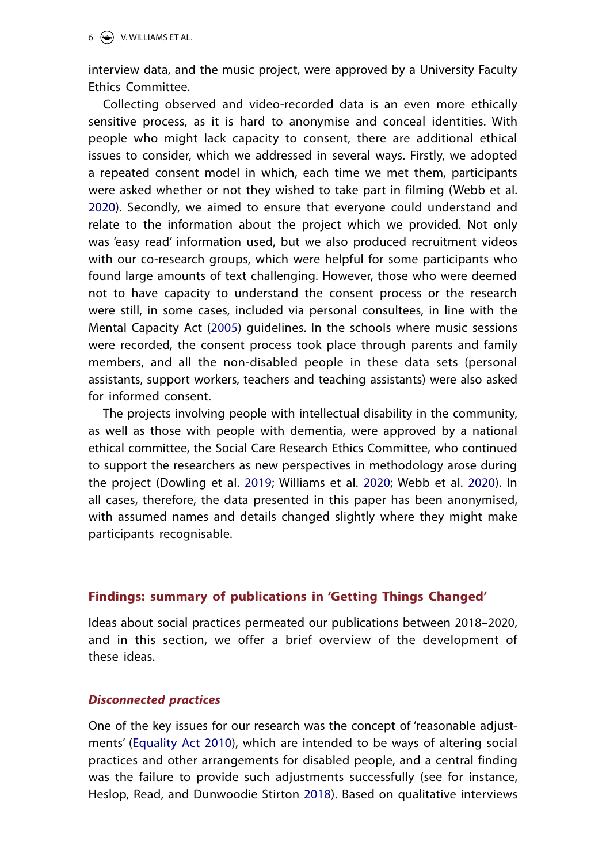interview data, and the music project, were approved by a University Faculty Ethics Committee.

<span id="page-5-2"></span>Collecting observed and video-recorded data is an even more ethically sensitive process, as it is hard to anonymise and conceal identities. With people who might lack capacity to consent, there are additional ethical issues to consider, which we addressed in several ways. Firstly, we adopted a repeated consent model in which, each time we met them, participants were asked whether or not they wished to take part in filming (Webb et al. [2020\)](#page-21-6). Secondly, we aimed to ensure that everyone could understand and relate to the information about the project which we provided. Not only was 'easy read' information used, but we also produced recruitment videos with our co-research groups, which were helpful for some participants who found large amounts of text challenging. However, those who were deemed not to have capacity to understand the consent process or the research were still, in some cases, included via personal consultees, in line with the Mental Capacity Act ([2005\)](#page-19-10) guidelines. In the schools where music sessions were recorded, the consent process took place through parents and family members, and all the non-disabled people in these data sets (personal assistants, support workers, teachers and teaching assistants) were also asked for informed consent.

<span id="page-5-3"></span><span id="page-5-1"></span><span id="page-5-0"></span>The projects involving people with intellectual disability in the community, as well as those with people with dementia, were approved by a national ethical committee, the Social Care Research Ethics Committee, who continued to support the researchers as new perspectives in methodology arose during the project (Dowling et al. [2019](#page-19-11); Williams et al. [2020;](#page-21-7) Webb et al. [2020](#page-21-8)). In all cases, therefore, the data presented in this paper has been anonymised, with assumed names and details changed slightly where they might make participants recognisable.

### **Findings: summary of publications in 'Getting Things Changed'**

Ideas about social practices permeated our publications between 2018–2020, and in this section, we offer a brief overview of the development of these ideas.

### *Disconnected practices*

One of the key issues for our research was the concept of 'reasonable adjustments' ([Equality Act 2010\)](#page-19-12), which are intended to be ways of altering social practices and other arrangements for disabled people, and a central finding was the failure to provide such adjustments successfully (see for instance, Heslop, Read, and Dunwoodie Stirton [2018](#page-19-13)). Based on qualitative interviews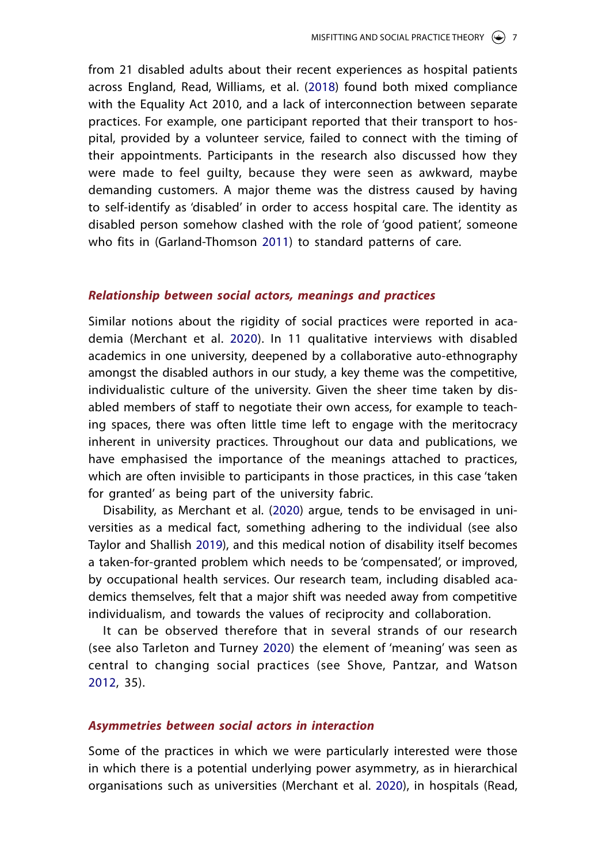from 21 disabled adults about their recent experiences as hospital patients across England, Read, Williams, et al. ([2018\)](#page-20-6) found both mixed compliance with the Equality Act 2010, and a lack of interconnection between separate practices. For example, one participant reported that their transport to hospital, provided by a volunteer service, failed to connect with the timing of their appointments. Participants in the research also discussed how they were made to feel guilty, because they were seen as awkward, maybe demanding customers. A major theme was the distress caused by having to self-identify as 'disabled' in order to access hospital care. The identity as disabled person somehow clashed with the role of 'good patient', someone who fits in (Garland-Thomson [2011](#page-19-6)) to standard patterns of care.

### *Relationship between social actors, meanings and practices*

Similar notions about the rigidity of social practices were reported in academia (Merchant et al. [2020\)](#page-19-7). In 11 qualitative interviews with disabled academics in one university, deepened by a collaborative auto-ethnography amongst the disabled authors in our study, a key theme was the competitive, individualistic culture of the university. Given the sheer time taken by disabled members of staff to negotiate their own access, for example to teaching spaces, there was often little time left to engage with the meritocracy inherent in university practices. Throughout our data and publications, we have emphasised the importance of the meanings attached to practices, which are often invisible to participants in those practices, in this case 'taken for granted' as being part of the university fabric.

<span id="page-6-1"></span>Disability, as Merchant et al. ([2020](#page-19-7)) argue, tends to be envisaged in universities as a medical fact, something adhering to the individual (see also Taylor and Shallish [2019](#page-21-9)), and this medical notion of disability itself becomes a taken-for-granted problem which needs to be 'compensated', or improved, by occupational health services. Our research team, including disabled academics themselves, felt that a major shift was needed away from competitive individualism, and towards the values of reciprocity and collaboration.

<span id="page-6-0"></span>It can be observed therefore that in several strands of our research (see also Tarleton and Turney [2020\)](#page-20-13) the element of 'meaning' was seen as central to changing social practices (see Shove, Pantzar, and Watson [2012,](#page-20-2) 35).

#### *Asymmetries between social actors in interaction*

Some of the practices in which we were particularly interested were those in which there is a potential underlying power asymmetry, as in hierarchical organisations such as universities (Merchant et al. [2020](#page-19-14)), in hospitals (Read,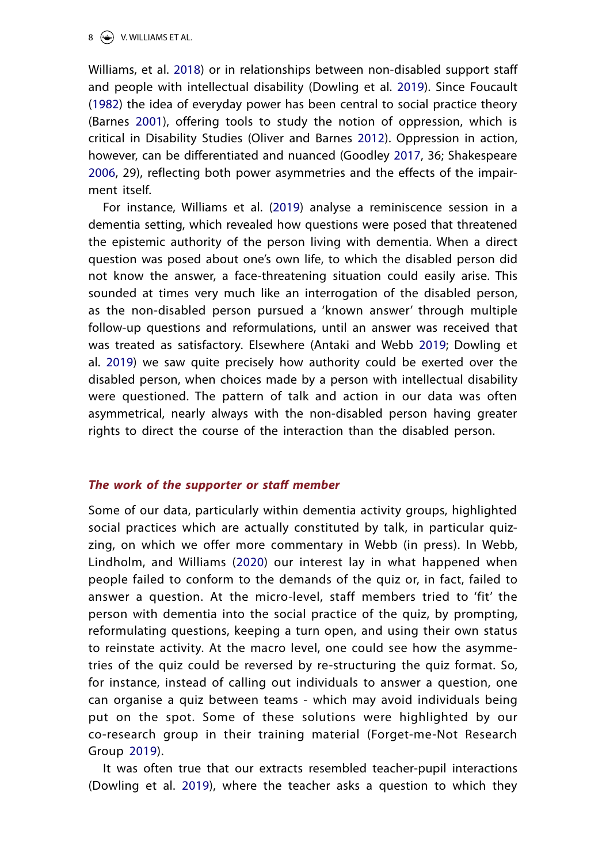#### $8 \leftrightarrow$  V. WILLIAMS ET AL.

<span id="page-7-2"></span><span id="page-7-0"></span>Williams, et al. [2018](#page-20-14)) or in relationships between non-disabled support staff and people with intellectual disability (Dowling et al. [2019](#page-19-11)). Since Foucault ([1982\)](#page-19-15) the idea of everyday power has been central to social practice theory (Barnes [2001\)](#page-18-4), offering tools to study the notion of oppression, which is critical in Disability Studies (Oliver and Barnes [2012](#page-20-15)). Oppression in action, however, can be differentiated and nuanced (Goodley [2017,](#page-19-16) 36; Shakespeare [2006,](#page-20-16) 29), reflecting both power asymmetries and the effects of the impairment itself.

<span id="page-7-4"></span><span id="page-7-3"></span>For instance, Williams et al. [\(2019](#page-21-4)) analyse a reminiscence session in a dementia setting, which revealed how questions were posed that threatened the epistemic authority of the person living with dementia. When a direct question was posed about one's own life, to which the disabled person did not know the answer, a face-threatening situation could easily arise. This sounded at times very much like an interrogation of the disabled person, as the non-disabled person pursued a 'known answer' through multiple follow-up questions and reformulations, until an answer was received that was treated as satisfactory. Elsewhere (Antaki and Webb [2019](#page-18-2); Dowling et al. [2019](#page-19-11)) we saw quite precisely how authority could be exerted over the disabled person, when choices made by a person with intellectual disability were questioned. The pattern of talk and action in our data was often asymmetrical, nearly always with the non-disabled person having greater rights to direct the course of the interaction than the disabled person.

#### *The work of the supporter or staff member*

Some of our data, particularly within dementia activity groups, highlighted social practices which are actually constituted by talk, in particular quizzing, on which we offer more commentary in Webb (in press). In Webb, Lindholm, and Williams [\(2020](#page-21-5)) our interest lay in what happened when people failed to conform to the demands of the quiz or, in fact, failed to answer a question. At the micro-level, staff members tried to 'fit' the person with dementia into the social practice of the quiz, by prompting, reformulating questions, keeping a turn open, and using their own status to reinstate activity. At the macro level, one could see how the asymmetries of the quiz could be reversed by re-structuring the quiz format. So, for instance, instead of calling out individuals to answer a question, one can organise a quiz between teams - which may avoid individuals being put on the spot. Some of these solutions were highlighted by our co-research group in their training material (Forget-me-Not Research Group [2019\)](#page-19-17).

<span id="page-7-1"></span>It was often true that our extracts resembled teacher-pupil interactions (Dowling et al. [2019](#page-19-11)), where the teacher asks a question to which they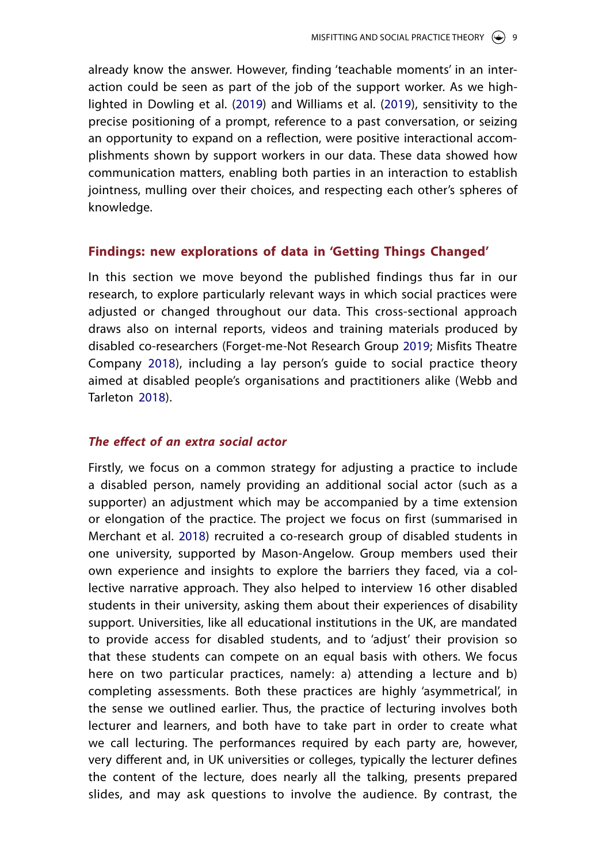already know the answer. However, finding 'teachable moments' in an interaction could be seen as part of the job of the support worker. As we highlighted in Dowling et al. ([2019\)](#page-19-11) and Williams et al. ([2019\)](#page-21-10), sensitivity to the precise positioning of a prompt, reference to a past conversation, or seizing an opportunity to expand on a reflection, were positive interactional accomplishments shown by support workers in our data. These data showed how communication matters, enabling both parties in an interaction to establish jointness, mulling over their choices, and respecting each other's spheres of knowledge.

### **Findings: new explorations of data in 'Getting Things Changed'**

<span id="page-8-0"></span>In this section we move beyond the published findings thus far in our research, to explore particularly relevant ways in which social practices were adjusted or changed throughout our data. This cross-sectional approach draws also on internal reports, videos and training materials produced by disabled co-researchers (Forget-me-Not Research Group [2019;](#page-19-18) Misfits Theatre Company [2018\)](#page-20-17), including a lay person's guide to social practice theory aimed at disabled people's organisations and practitioners alike (Webb and Tarleton [2018\)](#page-21-11).

### <span id="page-8-1"></span>*The effect of an extra social actor*

Firstly, we focus on a common strategy for adjusting a practice to include a disabled person, namely providing an additional social actor (such as a supporter) an adjustment which may be accompanied by a time extension or elongation of the practice. The project we focus on first (summarised in Merchant et al. [2018](#page-19-19)) recruited a co-research group of disabled students in one university, supported by Mason-Angelow. Group members used their own experience and insights to explore the barriers they faced, via a collective narrative approach. They also helped to interview 16 other disabled students in their university, asking them about their experiences of disability support. Universities, like all educational institutions in the UK, are mandated to provide access for disabled students, and to 'adjust' their provision so that these students can compete on an equal basis with others. We focus here on two particular practices, namely: a) attending a lecture and b) completing assessments. Both these practices are highly 'asymmetrical', in the sense we outlined earlier. Thus, the practice of lecturing involves both lecturer and learners, and both have to take part in order to create what we call lecturing. The performances required by each party are, however, very different and, in UK universities or colleges, typically the lecturer defines the content of the lecture, does nearly all the talking, presents prepared slides, and may ask questions to involve the audience. By contrast, the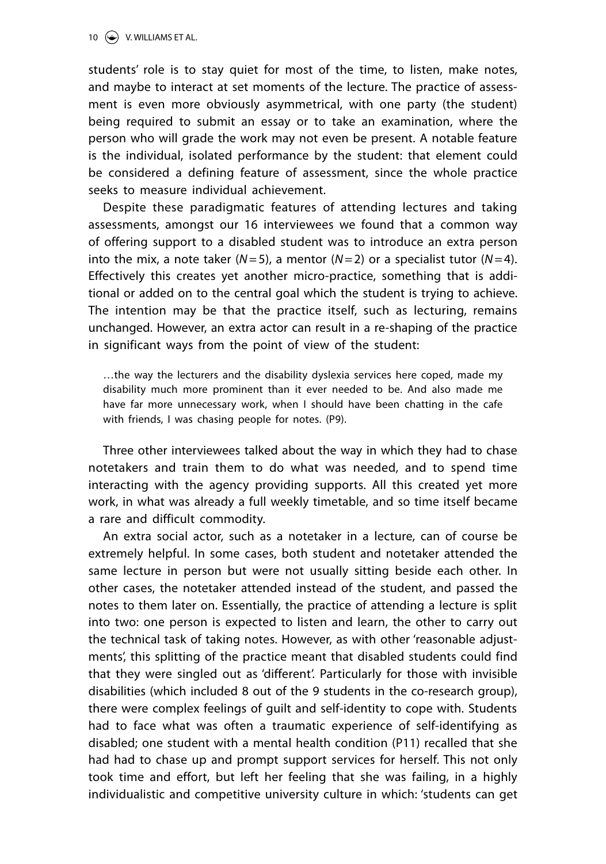students' role is to stay quiet for most of the time, to listen, make notes, and maybe to interact at set moments of the lecture. The practice of assessment is even more obviously asymmetrical, with one party (the student) being required to submit an essay or to take an examination, where the person who will grade the work may not even be present. A notable feature is the individual, isolated performance by the student: that element could be considered a defining feature of assessment, since the whole practice seeks to measure individual achievement.

Despite these paradigmatic features of attending lectures and taking assessments, amongst our 16 interviewees we found that a common way of offering support to a disabled student was to introduce an extra person into the mix, a note taker  $(N=5)$ , a mentor  $(N=2)$  or a specialist tutor  $(N=4)$ . Effectively this creates yet another micro-practice, something that is additional or added on to the central goal which the student is trying to achieve. The intention may be that the practice itself, such as lecturing, remains unchanged. However, an extra actor can result in a re-shaping of the practice in significant ways from the point of view of the student:

…the way the lecturers and the disability dyslexia services here coped, made my disability much more prominent than it ever needed to be. And also made me have far more unnecessary work, when I should have been chatting in the cafe with friends, I was chasing people for notes. (P9).

Three other interviewees talked about the way in which they had to chase notetakers and train them to do what was needed, and to spend time interacting with the agency providing supports. All this created yet more work, in what was already a full weekly timetable, and so time itself became a rare and difficult commodity.

An extra social actor, such as a notetaker in a lecture, can of course be extremely helpful. In some cases, both student and notetaker attended the same lecture in person but were not usually sitting beside each other. In other cases, the notetaker attended instead of the student, and passed the notes to them later on. Essentially, the practice of attending a lecture is split into two: one person is expected to listen and learn, the other to carry out the technical task of taking notes. However, as with other 'reasonable adjustments', this splitting of the practice meant that disabled students could find that they were singled out as 'different'. Particularly for those with invisible disabilities (which included 8 out of the 9 students in the co-research group), there were complex feelings of guilt and self-identity to cope with. Students had to face what was often a traumatic experience of self-identifying as disabled; one student with a mental health condition (P11) recalled that she had had to chase up and prompt support services for herself. This not only took time and effort, but left her feeling that she was failing, in a highly individualistic and competitive university culture in which: 'students can get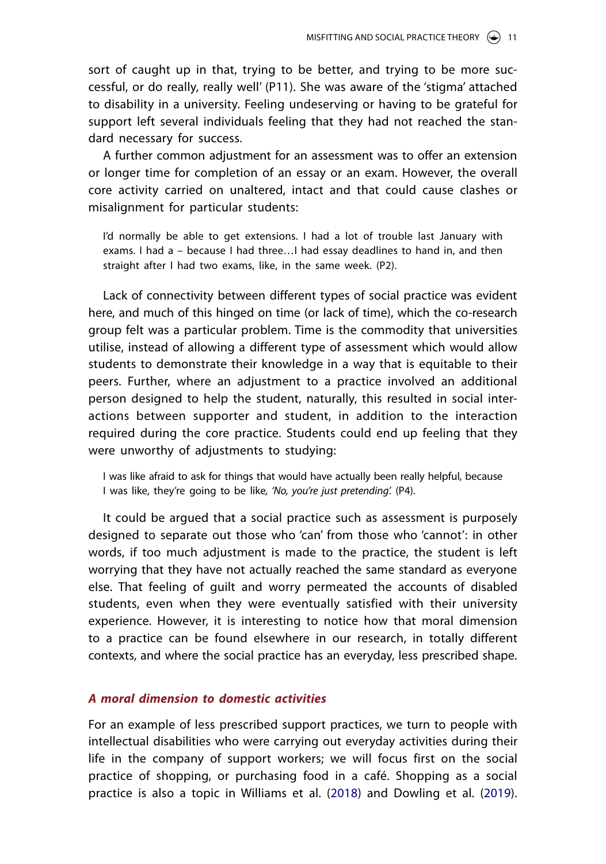sort of caught up in that, trying to be better, and trying to be more successful, or do really, really well' (P11). She was aware of the 'stigma' attached to disability in a university. Feeling undeserving or having to be grateful for support left several individuals feeling that they had not reached the standard necessary for success.

A further common adjustment for an assessment was to offer an extension or longer time for completion of an essay or an exam. However, the overall core activity carried on unaltered, intact and that could cause clashes or misalignment for particular students:

I'd normally be able to get extensions. I had a lot of trouble last January with exams. I had a – because I had three…I had essay deadlines to hand in, and then straight after I had two exams, like, in the same week. (P2).

Lack of connectivity between different types of social practice was evident here, and much of this hinged on time (or lack of time), which the co-research group felt was a particular problem. Time is the commodity that universities utilise, instead of allowing a different type of assessment which would allow students to demonstrate their knowledge in a way that is equitable to their peers. Further, where an adjustment to a practice involved an additional person designed to help the student, naturally, this resulted in social interactions between supporter and student, in addition to the interaction required during the core practice. Students could end up feeling that they were unworthy of adjustments to studying:

I was like afraid to ask for things that would have actually been really helpful, because I was like, they're going to be like*, 'No, you're just pretending'.* (P4).

It could be argued that a social practice such as assessment is purposely designed to separate out those who 'can' from those who 'cannot': in other words, if too much adjustment is made to the practice, the student is left worrying that they have not actually reached the same standard as everyone else. That feeling of guilt and worry permeated the accounts of disabled students, even when they were eventually satisfied with their university experience. However, it is interesting to notice how that moral dimension to a practice can be found elsewhere in our research, in totally different contexts, and where the social practice has an everyday, less prescribed shape.

# *A moral dimension to domestic activities*

For an example of less prescribed support practices, we turn to people with intellectual disabilities who were carrying out everyday activities during their life in the company of support workers; we will focus first on the social practice of shopping, or purchasing food in a café. Shopping as a social practice is also a topic in Williams et al. [\(2018](#page-21-0)) and Dowling et al. ([2019\)](#page-19-11).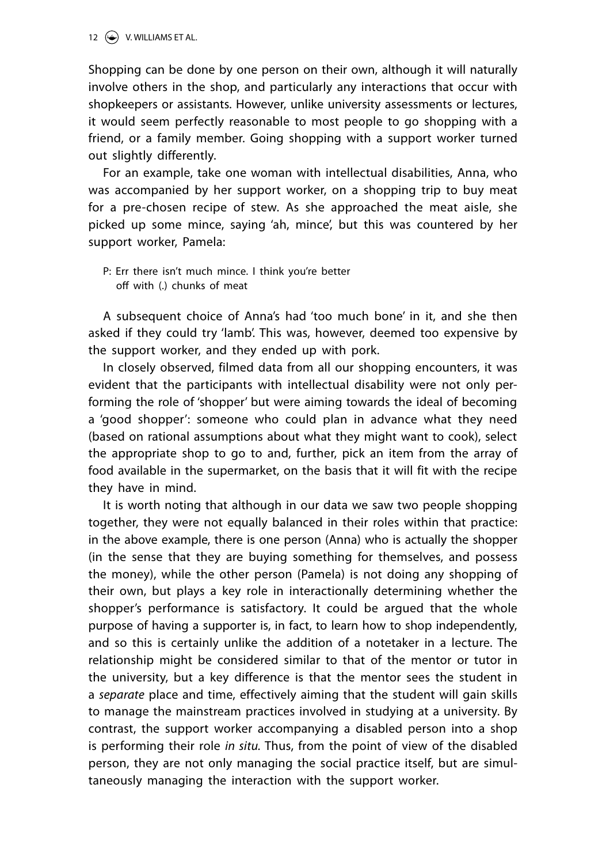Shopping can be done by one person on their own, although it will naturally involve others in the shop, and particularly any interactions that occur with shopkeepers or assistants. However, unlike university assessments or lectures, it would seem perfectly reasonable to most people to go shopping with a friend, or a family member. Going shopping with a support worker turned out slightly differently.

For an example, take one woman with intellectual disabilities, Anna, who was accompanied by her support worker, on a shopping trip to buy meat for a pre-chosen recipe of stew. As she approached the meat aisle, she picked up some mince, saying 'ah, mince', but this was countered by her support worker, Pamela:

P: Err there isn't much mince. I think you're better off with (.) chunks of meat

A subsequent choice of Anna's had 'too much bone' in it, and she then asked if they could try 'lamb'. This was, however, deemed too expensive by the support worker, and they ended up with pork.

In closely observed, filmed data from all our shopping encounters, it was evident that the participants with intellectual disability were not only performing the role of 'shopper' but were aiming towards the ideal of becoming a 'good shopper': someone who could plan in advance what they need (based on rational assumptions about what they might want to cook), select the appropriate shop to go to and, further, pick an item from the array of food available in the supermarket, on the basis that it will fit with the recipe they have in mind.

It is worth noting that although in our data we saw two people shopping together, they were not equally balanced in their roles within that practice: in the above example, there is one person (Anna) who is actually the shopper (in the sense that they are buying something for themselves, and possess the money), while the other person (Pamela) is not doing any shopping of their own, but plays a key role in interactionally determining whether the shopper's performance is satisfactory. It could be argued that the whole purpose of having a supporter is, in fact, to learn how to shop independently, and so this is certainly unlike the addition of a notetaker in a lecture. The relationship might be considered similar to that of the mentor or tutor in the university, but a key difference is that the mentor sees the student in a *separate* place and time, effectively aiming that the student will gain skills to manage the mainstream practices involved in studying at a university. By contrast, the support worker accompanying a disabled person into a shop is performing their role *in situ.* Thus, from the point of view of the disabled person, they are not only managing the social practice itself, but are simultaneously managing the interaction with the support worker.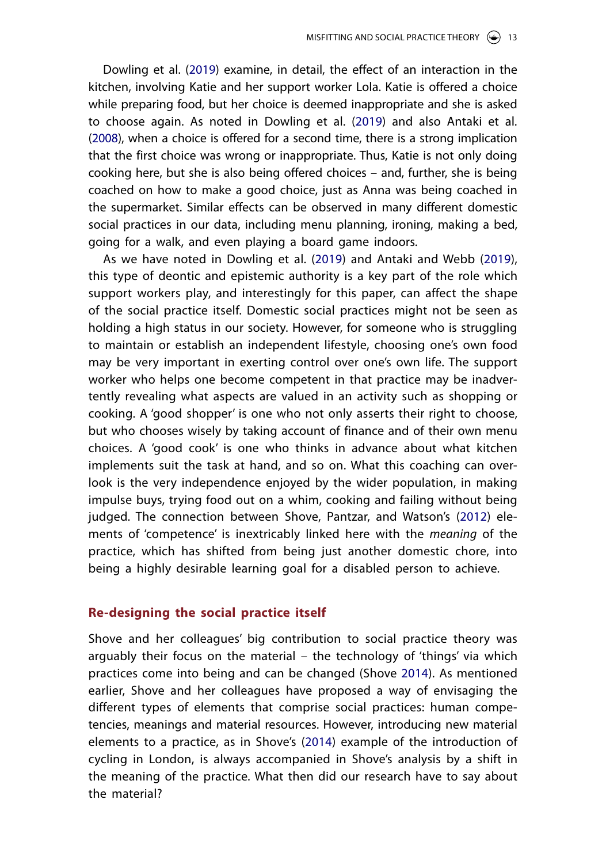<span id="page-12-0"></span>Dowling et al. ([2019\)](#page-19-11) examine, in detail, the effect of an interaction in the kitchen, involving Katie and her support worker Lola. Katie is offered a choice while preparing food, but her choice is deemed inappropriate and she is asked to choose again. As noted in Dowling et al. ([2019](#page-19-11)) and also Antaki et al. ([2008](#page-18-5)), when a choice is offered for a second time, there is a strong implication that the first choice was wrong or inappropriate. Thus, Katie is not only doing cooking here, but she is also being offered choices – and, further, she is being coached on how to make a good choice, just as Anna was being coached in the supermarket. Similar effects can be observed in many different domestic social practices in our data, including menu planning, ironing, making a bed, going for a walk, and even playing a board game indoors.

As we have noted in Dowling et al. ([2019\)](#page-19-20) and Antaki and Webb ([2019](#page-18-6)), this type of deontic and epistemic authority is a key part of the role which support workers play, and interestingly for this paper, can affect the shape of the social practice itself. Domestic social practices might not be seen as holding a high status in our society. However, for someone who is struggling to maintain or establish an independent lifestyle, choosing one's own food may be very important in exerting control over one's own life. The support worker who helps one become competent in that practice may be inadvertently revealing what aspects are valued in an activity such as shopping or cooking. A 'good shopper' is one who not only asserts their right to choose, but who chooses wisely by taking account of finance and of their own menu choices. A 'good cook' is one who thinks in advance about what kitchen implements suit the task at hand, and so on. What this coaching can overlook is the very independence enjoyed by the wider population, in making impulse buys, trying food out on a whim, cooking and failing without being judged. The connection between Shove, Pantzar, and Watson's ([2012](#page-20-2)) elements of 'competence' is inextricably linked here with the *meaning* of the practice, which has shifted from being just another domestic chore, into being a highly desirable learning goal for a disabled person to achieve.

### **Re-designing the social practice itself**

<span id="page-12-1"></span>Shove and her colleagues' big contribution to social practice theory was arguably their focus on the material – the technology of 'things' via which practices come into being and can be changed (Shove [2014\)](#page-20-18). As mentioned earlier, Shove and her colleagues have proposed a way of envisaging the different types of elements that comprise social practices: human competencies, meanings and material resources. However, introducing new material elements to a practice, as in Shove's [\(2014](#page-20-18)) example of the introduction of cycling in London, is always accompanied in Shove's analysis by a shift in the meaning of the practice. What then did our research have to say about the material?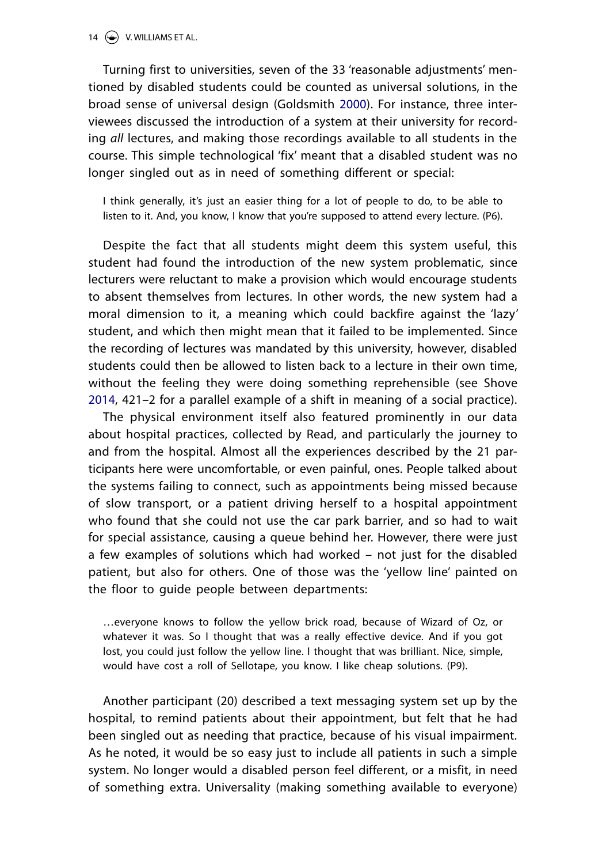<span id="page-13-0"></span>Turning first to universities, seven of the 33 'reasonable adjustments' mentioned by disabled students could be counted as universal solutions, in the broad sense of universal design (Goldsmith [2000](#page-19-21)). For instance, three interviewees discussed the introduction of a system at their university for recording *all* lectures, and making those recordings available to all students in the course. This simple technological 'fix' meant that a disabled student was no longer singled out as in need of something different or special:

I think generally, it's just an easier thing for a lot of people to do, to be able to listen to it. And, you know, I know that you're supposed to attend every lecture. (P6).

Despite the fact that all students might deem this system useful, this student had found the introduction of the new system problematic, since lecturers were reluctant to make a provision which would encourage students to absent themselves from lectures. In other words, the new system had a moral dimension to it, a meaning which could backfire against the 'lazy' student, and which then might mean that it failed to be implemented. Since the recording of lectures was mandated by this university, however, disabled students could then be allowed to listen back to a lecture in their own time, without the feeling they were doing something reprehensible (see Shove [2014,](#page-20-19) 421–2 for a parallel example of a shift in meaning of a social practice).

The physical environment itself also featured prominently in our data about hospital practices, collected by Read, and particularly the journey to and from the hospital. Almost all the experiences described by the 21 participants here were uncomfortable, or even painful, ones. People talked about the systems failing to connect, such as appointments being missed because of slow transport, or a patient driving herself to a hospital appointment who found that she could not use the car park barrier, and so had to wait for special assistance, causing a queue behind her. However, there were just a few examples of solutions which had worked – not just for the disabled patient, but also for others. One of those was the 'yellow line' painted on the floor to guide people between departments:

…everyone knows to follow the yellow brick road, because of Wizard of Oz, or whatever it was. So I thought that was a really effective device. And if you got lost, you could just follow the yellow line. I thought that was brilliant. Nice, simple, would have cost a roll of Sellotape, you know. I like cheap solutions. (P9).

Another participant (20) described a text messaging system set up by the hospital, to remind patients about their appointment, but felt that he had been singled out as needing that practice, because of his visual impairment. As he noted, it would be so easy just to include all patients in such a simple system. No longer would a disabled person feel different, or a misfit, in need of something extra. Universality (making something available to everyone)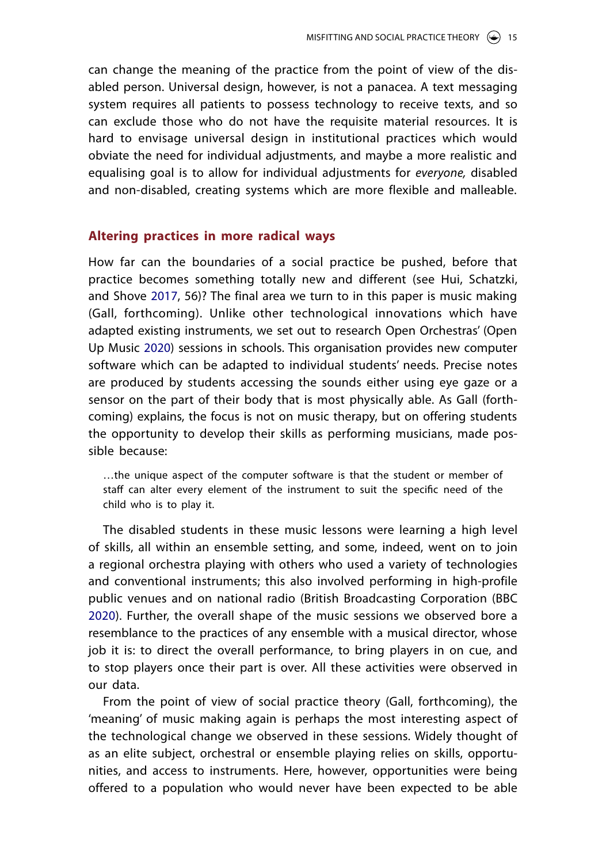can change the meaning of the practice from the point of view of the disabled person. Universal design, however, is not a panacea. A text messaging system requires all patients to possess technology to receive texts, and so can exclude those who do not have the requisite material resources. It is hard to envisage universal design in institutional practices which would obviate the need for individual adjustments, and maybe a more realistic and equalising goal is to allow for individual adjustments for *everyone,* disabled and non-disabled, creating systems which are more flexible and malleable.

### **Altering practices in more radical ways**

<span id="page-14-1"></span>How far can the boundaries of a social practice be pushed, before that practice becomes something totally new and different (see Hui, Schatzki, and Shove [2017,](#page-19-22) 56)? The final area we turn to in this paper is music making (Gall, forthcoming). Unlike other technological innovations which have adapted existing instruments, we set out to research Open Orchestras' (Open Up Music [2020\)](#page-20-20) sessions in schools. This organisation provides new computer software which can be adapted to individual students' needs. Precise notes are produced by students accessing the sounds either using eye gaze or a sensor on the part of their body that is most physically able. As Gall (forthcoming) explains, the focus is not on music therapy, but on offering students the opportunity to develop their skills as performing musicians, made possible because:

…the unique aspect of the computer software is that the student or member of staff can alter every element of the instrument to suit the specific need of the child who is to play it.

<span id="page-14-0"></span>The disabled students in these music lessons were learning a high level of skills, all within an ensemble setting, and some, indeed, went on to join a regional orchestra playing with others who used a variety of technologies and conventional instruments; this also involved performing in high-profile public venues and on national radio (British Broadcasting Corporation (BBC [2020\)](#page-19-23). Further, the overall shape of the music sessions we observed bore a resemblance to the practices of any ensemble with a musical director, whose job it is: to direct the overall performance, to bring players in on cue, and to stop players once their part is over. All these activities were observed in our data.

From the point of view of social practice theory (Gall, forthcoming), the 'meaning' of music making again is perhaps the most interesting aspect of the technological change we observed in these sessions. Widely thought of as an elite subject, orchestral or ensemble playing relies on skills, opportunities, and access to instruments. Here, however, opportunities were being offered to a population who would never have been expected to be able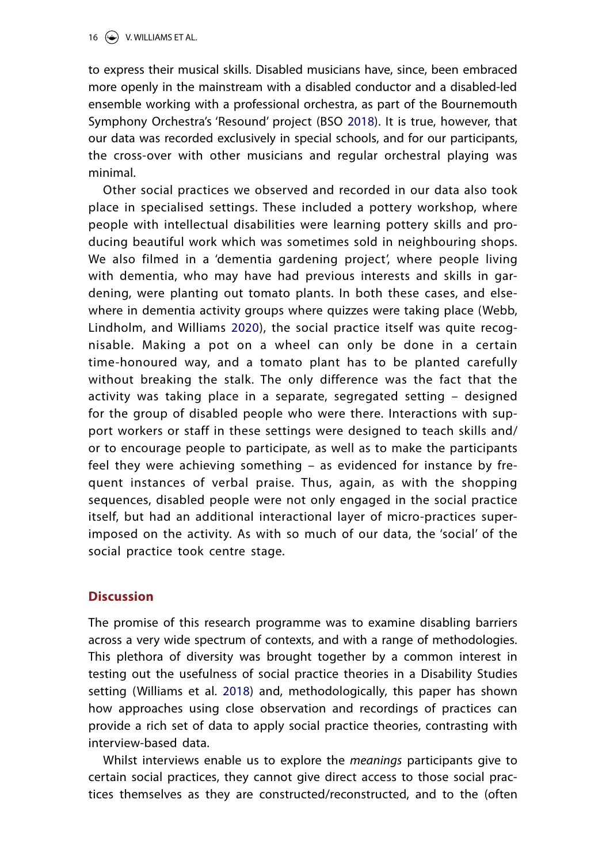<span id="page-15-0"></span>to express their musical skills. Disabled musicians have, since, been embraced more openly in the mainstream with a disabled conductor and a disabled-led ensemble working with a professional orchestra, as part of the Bournemouth Symphony Orchestra's 'Resound' project (BSO [2018\)](#page-18-7). It is true, however, that our data was recorded exclusively in special schools, and for our participants, the cross-over with other musicians and regular orchestral playing was minimal.

Other social practices we observed and recorded in our data also took place in specialised settings. These included a pottery workshop, where people with intellectual disabilities were learning pottery skills and producing beautiful work which was sometimes sold in neighbouring shops. We also filmed in a 'dementia gardening project', where people living with dementia, who may have had previous interests and skills in gardening, were planting out tomato plants. In both these cases, and elsewhere in dementia activity groups where quizzes were taking place (Webb, Lindholm, and Williams [2020](#page-21-12)), the social practice itself was quite recognisable. Making a pot on a wheel can only be done in a certain time-honoured way, and a tomato plant has to be planted carefully without breaking the stalk. The only difference was the fact that the activity was taking place in a separate, segregated setting – designed for the group of disabled people who were there. Interactions with support workers or staff in these settings were designed to teach skills and/ or to encourage people to participate, as well as to make the participants feel they were achieving something – as evidenced for instance by frequent instances of verbal praise. Thus, again, as with the shopping sequences, disabled people were not only engaged in the social practice itself, but had an additional interactional layer of micro-practices superimposed on the activity. As with so much of our data, the 'social' of the social practice took centre stage.

# **Discussion**

The promise of this research programme was to examine disabling barriers across a very wide spectrum of contexts, and with a range of methodologies. This plethora of diversity was brought together by a common interest in testing out the usefulness of social practice theories in a Disability Studies setting (Williams et al. [2018](#page-21-13)) and, methodologically, this paper has shown how approaches using close observation and recordings of practices can provide a rich set of data to apply social practice theories, contrasting with interview-based data.

Whilst interviews enable us to explore the *meanings* participants give to certain social practices, they cannot give direct access to those social practices themselves as they are constructed/reconstructed, and to the (often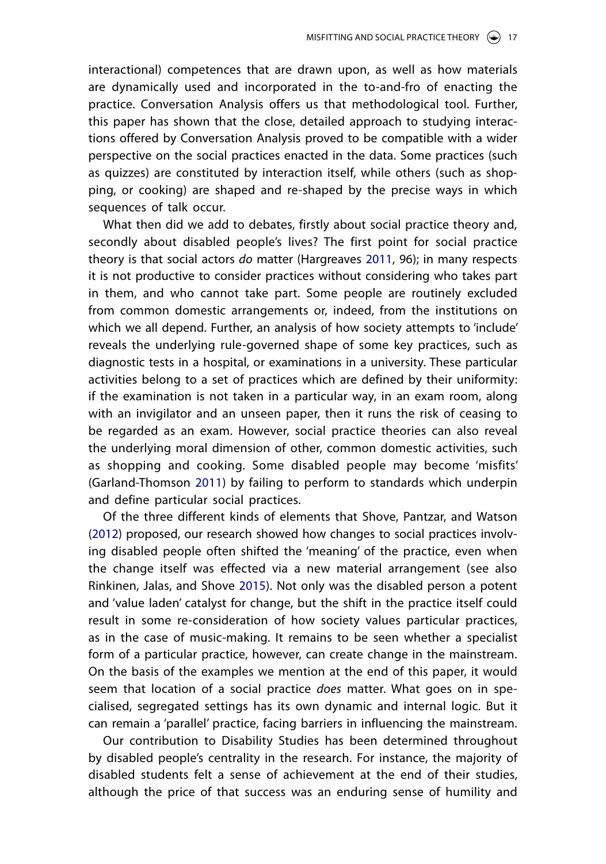interactional) competences that are drawn upon, as well as how materials are dynamically used and incorporated in the to-and-fro of enacting the practice. Conversation Analysis offers us that methodological tool. Further, this paper has shown that the close, detailed approach to studying interactions offered by Conversation Analysis proved to be compatible with a wider perspective on the social practices enacted in the data. Some practices (such as quizzes) are constituted by interaction itself, while others (such as shopping, or cooking) are shaped and re-shaped by the precise ways in which sequences of talk occur.

What then did we add to debates, firstly about social practice theory and, secondly about disabled people's lives? The first point for social practice theory is that social actors *do* matter (Hargreaves [2011,](#page-19-24) 96); in many respects it is not productive to consider practices without considering who takes part in them, and who cannot take part. Some people are routinely excluded from common domestic arrangements or, indeed, from the institutions on which we all depend. Further, an analysis of how society attempts to 'include' reveals the underlying rule-governed shape of some key practices, such as diagnostic tests in a hospital, or examinations in a university. These particular activities belong to a set of practices which are defined by their uniformity: if the examination is not taken in a particular way, in an exam room, along with an invigilator and an unseen paper, then it runs the risk of ceasing to be regarded as an exam. However, social practice theories can also reveal the underlying moral dimension of other, common domestic activities, such as shopping and cooking. Some disabled people may become 'misfits' (Garland-Thomson [2011](#page-19-6)) by failing to perform to standards which underpin and define particular social practices.

<span id="page-16-0"></span>Of the three different kinds of elements that Shove, Pantzar, and Watson ([2012](#page-20-21)) proposed, our research showed how changes to social practices involving disabled people often shifted the 'meaning' of the practice, even when the change itself was effected via a new material arrangement (see also Rinkinen, Jalas, and Shove [2015\)](#page-20-22). Not only was the disabled person a potent and 'value laden' catalyst for change, but the shift in the practice itself could result in some re-consideration of how society values particular practices, as in the case of music-making. It remains to be seen whether a specialist form of a particular practice, however, can create change in the mainstream. On the basis of the examples we mention at the end of this paper, it would seem that location of a social practice *does* matter. What goes on in specialised, segregated settings has its own dynamic and internal logic. But it can remain a 'parallel' practice, facing barriers in influencing the mainstream.

Our contribution to Disability Studies has been determined throughout by disabled people's centrality in the research. For instance, the majority of disabled students felt a sense of achievement at the end of their studies, although the price of that success was an enduring sense of humility and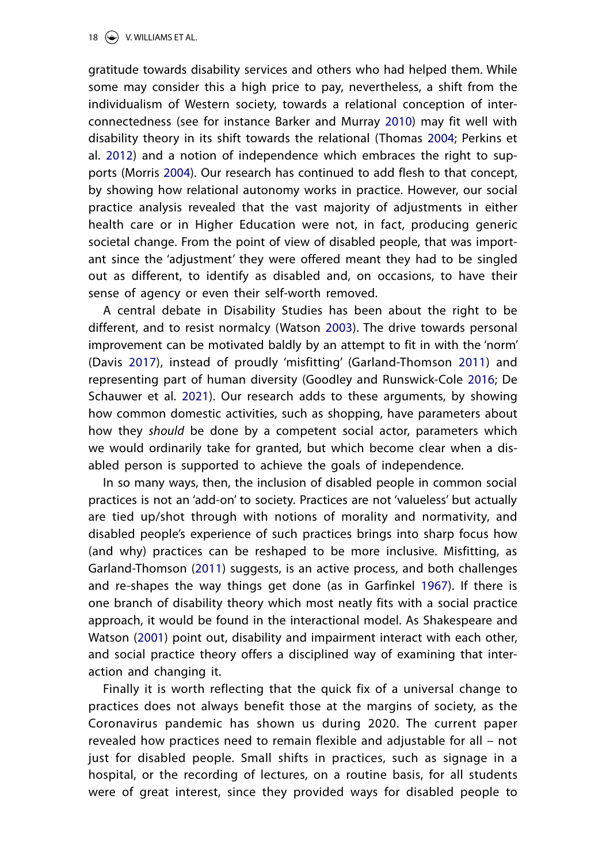<span id="page-17-8"></span><span id="page-17-6"></span><span id="page-17-5"></span><span id="page-17-0"></span>gratitude towards disability services and others who had helped them. While some may consider this a high price to pay, nevertheless, a shift from the individualism of Western society, towards a relational conception of interconnectedness (see for instance Barker and Murray [2010](#page-18-8)) may fit well with disability theory in its shift towards the relational (Thomas [2004;](#page-21-14) Perkins et al. [2012](#page-20-23)) and a notion of independence which embraces the right to supports (Morris [2004\)](#page-20-24). Our research has continued to add flesh to that concept, by showing how relational autonomy works in practice. However, our social practice analysis revealed that the vast majority of adjustments in either health care or in Higher Education were not, in fact, producing generic societal change. From the point of view of disabled people, that was important since the 'adjustment' they were offered meant they had to be singled out as different, to identify as disabled and, on occasions, to have their sense of agency or even their self-worth removed.

<span id="page-17-9"></span><span id="page-17-4"></span><span id="page-17-2"></span><span id="page-17-1"></span>A central debate in Disability Studies has been about the right to be different, and to resist normalcy (Watson [2003](#page-21-15)). The drive towards personal improvement can be motivated baldly by an attempt to fit in with the 'norm' (Davis [2017](#page-19-25)), instead of proudly 'misfitting' (Garland-Thomson [2011\)](#page-19-6) and representing part of human diversity (Goodley and Runswick-Cole [2016;](#page-19-26) De Schauwer et al. [2021](#page-19-27)). Our research adds to these arguments, by showing how common domestic activities, such as shopping, have parameters about how they *should* be done by a competent social actor, parameters which we would ordinarily take for granted, but which become clear when a disabled person is supported to achieve the goals of independence.

<span id="page-17-3"></span>In so many ways, then, the inclusion of disabled people in common social practices is not an 'add-on' to society. Practices are not 'valueless' but actually are tied up/shot through with notions of morality and normativity, and disabled people's experience of such practices brings into sharp focus how (and why) practices can be reshaped to be more inclusive. Misfitting, as Garland-Thomson ([2011\)](#page-19-28) suggests, is an active process, and both challenges and re-shapes the way things get done (as in Garfinkel [1967\)](#page-19-29). If there is one branch of disability theory which most neatly fits with a social practice approach, it would be found in the interactional model. As Shakespeare and Watson ([2001\)](#page-20-25) point out, disability and impairment interact with each other, and social practice theory offers a disciplined way of examining that interaction and changing it.

<span id="page-17-7"></span>Finally it is worth reflecting that the quick fix of a universal change to practices does not always benefit those at the margins of society, as the Coronavirus pandemic has shown us during 2020. The current paper revealed how practices need to remain flexible and adjustable for all – not just for disabled people. Small shifts in practices, such as signage in a hospital, or the recording of lectures, on a routine basis, for all students were of great interest, since they provided ways for disabled people to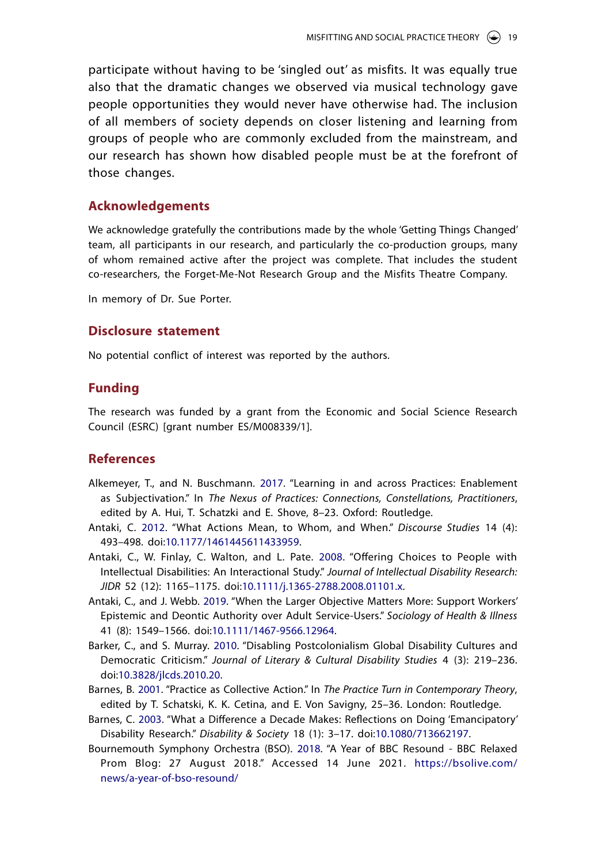participate without having to be 'singled out' as misfits. It was equally true also that the dramatic changes we observed via musical technology gave people opportunities they would never have otherwise had. The inclusion of all members of society depends on closer listening and learning from groups of people who are commonly excluded from the mainstream, and our research has shown how disabled people must be at the forefront of those changes.

#### **Acknowledgements**

We acknowledge gratefully the contributions made by the whole 'Getting Things Changed' team, all participants in our research, and particularly the co-production groups, many of whom remained active after the project was complete. That includes the student co-researchers, the Forget-Me-Not Research Group and the Misfits Theatre Company.

In memory of Dr. Sue Porter.

### **Disclosure statement**

No potential conflict of interest was reported by the authors.

### **Funding**

The research was funded by a grant from the Economic and Social Science Research Council (ESRC) [grant number ES/M008339/1].

#### **References**

- <span id="page-18-0"></span>Alkemeyer, T., and N. Buschmann. [2017.](#page-2-0) "Learning in and across Practices: Enablement as Subjectivation." In *The Nexus of Practices: Connections, Constellations, Practitioners*, edited by A. Hui, T. Schatzki and E. Shove, 8–23. Oxford: Routledge.
- <span id="page-18-3"></span>Antaki, C. [2012](#page-4-0). "What Actions Mean, to Whom, and When." *Discourse Studies* 14 (4): 493–498. doi:[10.1177/1461445611433959.](https://doi.org/10.1177/1461445611433959)
- <span id="page-18-5"></span>Antaki, C., W. Finlay, C. Walton, and L. Pate. [2008.](#page-12-0) "Offering Choices to People with Intellectual Disabilities: An Interactional Study." *Journal of Intellectual Disability Research: JIDR* 52 (12): 1165–1175. doi[:10.1111/j.1365-2788.2008.01101.x.](https://doi.org/10.1111/j.1365-2788.2008.01101.x)
- <span id="page-18-6"></span><span id="page-18-2"></span>Antaki, C., and J. Webb. [2019](#page-4-1). "When the Larger Objective Matters More: Support Workers' Epistemic and Deontic Authority over Adult Service-Users." *Sociology of Health & Illness* 41 (8): 1549–1566. doi:[10.1111/1467-9566.12964](https://doi.org/10.1111/1467-9566.12964).
- <span id="page-18-8"></span>Barker, C., and S. Murray. [2010.](#page-17-0) "Disabling Postcolonialism Global Disability Cultures and Democratic Criticism." *Journal of Literary & Cultural Disability Studies* 4 (3): 219–236. doi[:10.3828/jlcds.2010.20](https://doi.org/10.3828/jlcds.2010.20).
- <span id="page-18-4"></span>Barnes, B. [2001](#page-7-0). "Practice as Collective Action." In *The Practice Turn in Contemporary Theory*, edited by T. Schatski, K. K. Cetina, and E. Von Savigny, 25–36. London: Routledge.
- <span id="page-18-1"></span>Barnes, C. [2003.](#page-3-0) "What a Difference a Decade Makes: Reflections on Doing 'Emancipatory' Disability Research." *Disability & Society* 18 (1): 3–17. doi:[10.1080/713662197.](https://doi.org/10.1080/713662197)
- <span id="page-18-7"></span>Bournemouth Symphony Orchestra (BSO). [2018.](#page-15-0) "A Year of BBC Resound - BBC Relaxed Prom Blog: 27 August 2018." Accessed 14 June 2021. [https://bsolive.com/](https://bsolive.com/news/a-year-of-bso-resound/) [news/a-year-of-bso-resound/](https://bsolive.com/news/a-year-of-bso-resound/)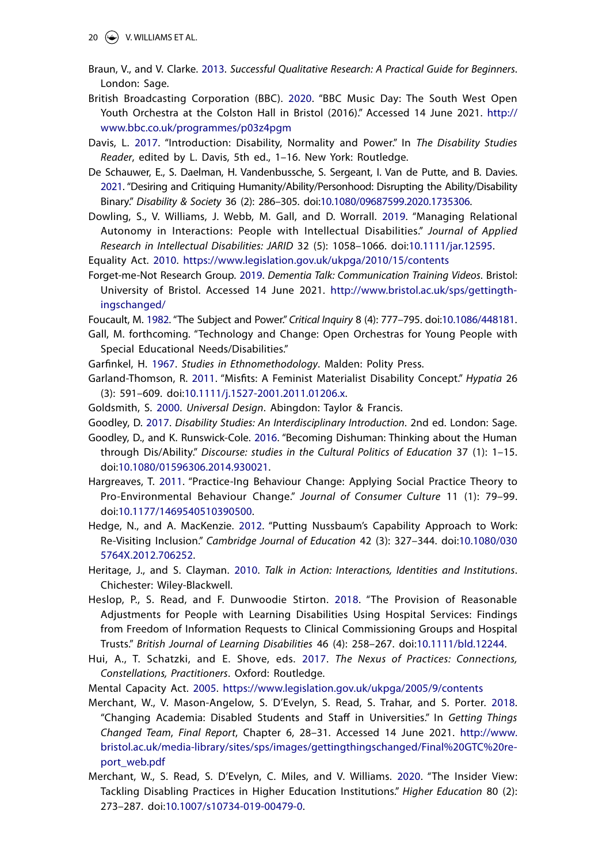- <span id="page-19-8"></span>Braun, V., and V. Clarke. [2013.](#page-3-1) *Successful Qualitative Research: A Practical Guide for Beginners*. London: Sage.
- <span id="page-19-23"></span>British Broadcasting Corporation (BBC). [2020.](#page-14-0) "BBC Music Day: The South West Open Youth Orchestra at the Colston Hall in Bristol (2016)." Accessed 14 June 2021. [http://](http://www.bbc.co.uk/programmes/p03z4pgm) [www.bbc.co.uk/programmes/p03z4pgm](http://www.bbc.co.uk/programmes/p03z4pgm)
- <span id="page-19-25"></span>Davis, L. [2017.](#page-17-1) "Introduction: Disability, Normality and Power." In *The Disability Studies Reader*, edited by L. Davis, 5th ed., 1–16. New York: Routledge.
- <span id="page-19-27"></span>De Schauwer, E., S. Daelman, H. Vandenbussche, S. Sergeant, I. Van de Putte, and B. Davies. [2021.](#page-17-2) "Desiring and Critiquing Humanity/Ability/Personhood: Disrupting the Ability/Disability Binary." *Disability & Society* 36 (2): 286–305. doi[:10.1080/09687599.2020.1735306.](https://doi.org/10.1080/09687599.2020.1735306)
- <span id="page-19-20"></span><span id="page-19-11"></span>Dowling, S., V. Williams, J. Webb, M. Gall, and D. Worrall. [2019](#page-5-0). "Managing Relational Autonomy in Interactions: People with Intellectual Disabilities." *Journal of Applied Research in Intellectual Disabilities: JARID* 32 (5): 1058–1066. doi:[10.1111/jar.12595](https://doi.org/10.1111/jar.12595).
- <span id="page-19-12"></span><span id="page-19-2"></span>Equality Act. [2010.](#page-1-0) <https://www.legislation.gov.uk/ukpga/2010/15/contents>
- <span id="page-19-18"></span><span id="page-19-17"></span>Forget-me-Not Research Group. [2019](#page-7-1). *Dementia Talk: Communication Training Videos*. Bristol: University of Bristol. Accessed 14 June 2021. [http://www.bristol.ac.uk/sps/gettingth](http://www.bristol.ac.uk/sps/gettingthingschanged/)[ingschanged/](http://www.bristol.ac.uk/sps/gettingthingschanged/)
- <span id="page-19-15"></span>Foucault, M. [1982.](#page-7-2) "The Subject and Power." *Critical Inquiry* 8 (4): 777–795. doi:[10.1086/448181](https://doi.org/10.1086/448181).
- Gall, M. forthcoming. "Technology and Change: Open Orchestras for Young People with Special Educational Needs/Disabilities."
- <span id="page-19-29"></span>Garfinkel, H. [1967](#page-17-3). *Studies in Ethnomethodology*. Malden: Polity Press.
- <span id="page-19-28"></span><span id="page-19-6"></span>Garland-Thomson, R. [2011](#page-2-1). "Misfits: A Feminist Materialist Disability Concept." *Hypatia* 26 (3): 591–609. doi[:10.1111/j.1527-2001.2011.01206.x](https://doi.org/10.1111/j.1527-2001.2011.01206.x).
- <span id="page-19-21"></span>Goldsmith, S. [2000](#page-13-0). *Universal Design*. Abingdon: Taylor & Francis.
- <span id="page-19-16"></span>Goodley, D. [2017.](#page-7-3) *Disability Studies: An Interdisciplinary Introduction*. 2nd ed. London: Sage.
- <span id="page-19-26"></span>Goodley, D., and K. Runswick-Cole. [2016.](#page-17-4) "Becoming Dishuman: Thinking about the Human through Dis/Ability." *Discourse: studies in the Cultural Politics of Education* 37 (1): 1–15. doi[:10.1080/01596306.2014.930021.](https://doi.org/10.1080/01596306.2014.930021)
- <span id="page-19-24"></span><span id="page-19-5"></span>Hargreaves, T. [2011.](#page-2-2) "Practice-Ing Behaviour Change: Applying Social Practice Theory to Pro-Environmental Behaviour Change." *Journal of Consumer Culture* 11 (1): 79–99. doi[:10.1177/1469540510390500](https://doi.org/10.1177/1469540510390500).
- <span id="page-19-1"></span>Hedge, N., and A. MacKenzie. [2012](#page-1-1). "Putting Nussbaum's Capability Approach to Work: Re-Visiting Inclusion." *Cambridge Journal of Education* 42 (3): 327–344. doi:[10.1080/030](https://doi.org/10.1080/0305764X.2012.706252) [5764X.2012.706252](https://doi.org/10.1080/0305764X.2012.706252).
- <span id="page-19-9"></span>Heritage, J., and S. Clayman. [2010.](#page-4-2) *Talk in Action: Interactions, Identities and Institutions*. Chichester: Wiley-Blackwell.
- <span id="page-19-13"></span><span id="page-19-4"></span>Heslop, P., S. Read, and F. Dunwoodie Stirton. [2018](#page-2-3). "The Provision of Reasonable Adjustments for People with Learning Disabilities Using Hospital Services: Findings from Freedom of Information Requests to Clinical Commissioning Groups and Hospital Trusts." *British Journal of Learning Disabilities* 46 (4): 258–267. doi[:10.1111/bld.12244.](https://doi.org/10.1111/bld.12244)
- <span id="page-19-22"></span><span id="page-19-0"></span>Hui, A., T. Schatzki, and E. Shove, eds. [2017.](#page-1-2) *The Nexus of Practices: Connections, Constellations, Practitioners*. Oxford: Routledge.
- <span id="page-19-10"></span>Mental Capacity Act. [2005](#page-5-1). <https://www.legislation.gov.uk/ukpga/2005/9/contents>
- <span id="page-19-19"></span><span id="page-19-3"></span>Merchant, W., V. Mason-Angelow, S. D'Evelyn, S. Read, S. Trahar, and S. Porter. [2018](#page-2-4). "Changing Academia: Disabled Students and Staff in Universities." In *Getting Things Changed Team*, *Final Report*, Chapter 6, 28–31. Accessed 14 June 2021. [http://www.](http://www.bristol.ac.uk/media-library/sites/sps/images/gettingthingschanged/Final%20GTC%20report_web.pdf) [bristol.ac.uk/media-library/sites/sps/images/gettingthingschanged/Final%20GTC%20re](http://www.bristol.ac.uk/media-library/sites/sps/images/gettingthingschanged/Final%20GTC%20report_web.pdf)[port\\_web.pdf](http://www.bristol.ac.uk/media-library/sites/sps/images/gettingthingschanged/Final%20GTC%20report_web.pdf)
- <span id="page-19-14"></span><span id="page-19-7"></span>Merchant, W., S. Read, S. D'Evelyn, C. Miles, and V. Williams. [2020](#page-3-2). "The Insider View: Tackling Disabling Practices in Higher Education Institutions." *Higher Education* 80 (2): 273–287. doi:[10.1007/s10734-019-00479-0](https://doi.org/10.1007/s10734-019-00479-0).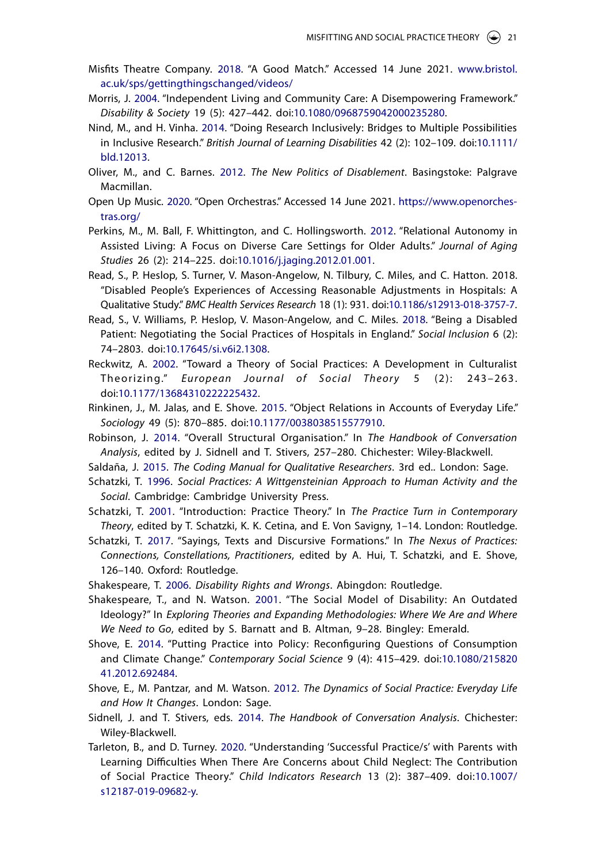- <span id="page-20-17"></span>Misfits Theatre Company. [2018](#page-8-0). "A Good Match." Accessed 14 June 2021. [www.bristol.](http://www.bristol.ac.uk/sps/gettingthingschanged/videos/) [ac.uk/sps/gettingthingschanged/videos/](http://www.bristol.ac.uk/sps/gettingthingschanged/videos/)
- <span id="page-20-24"></span>Morris, J. [2004](#page-17-5). "Independent Living and Community Care: A Disempowering Framework." *Disability & Society* 19 (5): 427–442. doi[:10.1080/0968759042000235280](https://doi.org/10.1080/0968759042000235280).
- <span id="page-20-7"></span>Nind, M., and H. Vinha. [2014.](#page-3-3) "Doing Research Inclusively: Bridges to Multiple Possibilities in Inclusive Research." *British Journal of Learning Disabilities* 42 (2): 102–109. doi[:10.1111/](https://doi.org/10.1111/bld.12013) [bld.12013](https://doi.org/10.1111/bld.12013).
- <span id="page-20-15"></span><span id="page-20-3"></span>Oliver, M., and C. Barnes. [2012](#page-1-3). *The New Politics of Disablement*. Basingstoke: Palgrave Macmillan.
- <span id="page-20-20"></span>Open Up Music. [2020.](#page-14-1) "Open Orchestras." Accessed 14 June 2021. [https://www.openorches](https://www.openorchestras.org/)[tras.org/](https://www.openorchestras.org/)
- <span id="page-20-23"></span>Perkins, M., M. Ball, F. Whittington, and C. Hollingsworth. [2012](#page-17-6). "Relational Autonomy in Assisted Living: A Focus on Diverse Care Settings for Older Adults." *Journal of Aging Studies* 26 (2): 214–225. doi[:10.1016/j.jaging.2012.01.001](https://doi.org/10.1016/j.jaging.2012.01.001).
- Read, S., P. Heslop, S. Turner, V. Mason-Angelow, N. Tilbury, C. Miles, and C. Hatton. 2018. "Disabled People's Experiences of Accessing Reasonable Adjustments in Hospitals: A Qualitative Study." *BMC Health Services Research* 18 (1): 931. doi:[10.1186/s12913-018-3757-7](https://doi.org/10.1186/s12913-018-3757-7).
- <span id="page-20-14"></span><span id="page-20-6"></span>Read, S., V. Williams, P. Heslop, V. Mason-Angelow, and C. Miles. [2018](#page-3-4). "Being a Disabled Patient: Negotiating the Social Practices of Hospitals in England." *Social Inclusion* 6 (2): 74–2803. doi:[10.17645/si.v6i2.1308.](https://doi.org/10.17645/si.v6i2.1308)
- <span id="page-20-0"></span>Reckwitz, A. [2002](#page-1-4). "Toward a Theory of Social Practices: A Development in Culturalist Theorizing." *European Journal of Social Theory 5* (2): 243-263. doi[:10.1177/13684310222225432.](https://doi.org/10.1177/13684310222225432)
- <span id="page-20-22"></span>Rinkinen, J., M. Jalas, and E. Shove. [2015.](#page-16-0) "Object Relations in Accounts of Everyday Life." *Sociology* 49 (5): 870–885. doi[:10.1177/0038038515577910](https://doi.org/10.1177/0038038515577910).
- <span id="page-20-12"></span>Robinson, J. [2014.](#page-4-3) "Overall Structural Organisation." In *The Handbook of Conversation Analysis*, edited by J. Sidnell and T. Stivers, 257–280. Chichester: Wiley-Blackwell.
- <span id="page-20-8"></span>Saldaña, J. [2015](#page-4-4). *The Coding Manual for Qualitative Researchers*. 3rd ed.. London: Sage.
- <span id="page-20-4"></span>Schatzki, T. [1996.](#page-2-5) *Social Practices: A Wittgensteinian Approach to Human Activity and the Social*. Cambridge: Cambridge University Press.
- <span id="page-20-5"></span><span id="page-20-1"></span>Schatzki, T. [2001](#page-1-5). "Introduction: Practice Theory." In *The Practice Turn in Contemporary Theory*, edited by T. Schatzki, K. K. Cetina, and E. Von Savigny, 1–14. London: Routledge.
- <span id="page-20-11"></span><span id="page-20-10"></span>Schatzki, T. [2017](#page-4-5). "Sayings, Texts and Discursive Formations." In *The Nexus of Practices: Connections, Constellations, Practitioners*, edited by A. Hui, T. Schatzki, and E. Shove, 126–140. Oxford: Routledge.
- <span id="page-20-16"></span>Shakespeare, T. [2006.](#page-7-4) *Disability Rights and Wrongs*. Abingdon: Routledge.
- <span id="page-20-25"></span>Shakespeare, T., and N. Watson. [2001](#page-17-7). "The Social Model of Disability: An Outdated Ideology?" In *Exploring Theories and Expanding Methodologies: Where We Are and Where We Need to Go*, edited by S. Barnatt and B. Altman, 9–28. Bingley: Emerald.
- <span id="page-20-19"></span><span id="page-20-18"></span>Shove, E. [2014](#page-12-1). "Putting Practice into Policy: Reconfiguring Questions of Consumption and Climate Change." *Contemporary Social Science* 9 (4): 415–429. doi:[10.1080/215820](https://doi.org/10.1080/21582041.2012.692484) [41.2012.692484](https://doi.org/10.1080/21582041.2012.692484).
- <span id="page-20-21"></span><span id="page-20-2"></span>Shove, E., M. Pantzar, and M. Watson. [2012.](#page-1-6) *The Dynamics of Social Practice: Everyday Life and How It Changes*. London: Sage.
- <span id="page-20-9"></span>Sidnell, J. and T. Stivers, eds. [2014.](#page-4-6) *The Handbook of Conversation Analysis*. Chichester: Wiley-Blackwell.
- <span id="page-20-13"></span>Tarleton, B., and D. Turney. [2020.](#page-6-0) "Understanding 'Successful Practice/s' with Parents with Learning Difficulties When There Are Concerns about Child Neglect: The Contribution of Social Practice Theory." *Child Indicators Research* 13 (2): 387–409. doi:[10.1007/](https://doi.org/10.1007/s12187-019-09682-y) [s12187-019-09682-y](https://doi.org/10.1007/s12187-019-09682-y).